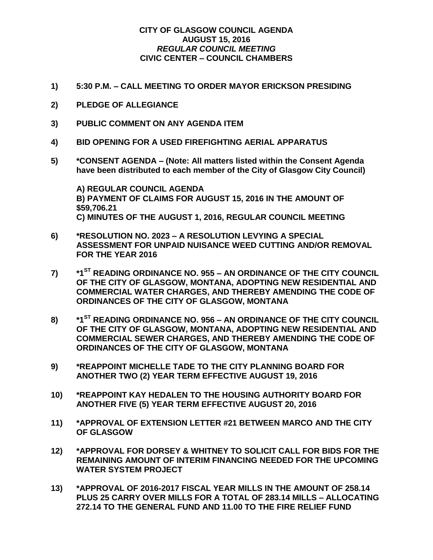## **CITY OF GLASGOW COUNCIL AGENDA AUGUST 15, 2016** *REGULAR COUNCIL MEETING* **CIVIC CENTER – COUNCIL CHAMBERS**

- **1) 5:30 P.M. – CALL MEETING TO ORDER MAYOR ERICKSON PRESIDING**
- **2) PLEDGE OF ALLEGIANCE**
- **3) PUBLIC COMMENT ON ANY AGENDA ITEM**
- **4) BID OPENING FOR A USED FIREFIGHTING AERIAL APPARATUS**
- **5) \*CONSENT AGENDA – (Note: All matters listed within the Consent Agenda have been distributed to each member of the City of Glasgow City Council)**

**A) REGULAR COUNCIL AGENDA B) PAYMENT OF CLAIMS FOR AUGUST 15, 2016 IN THE AMOUNT OF \$59,706.21 C) MINUTES OF THE AUGUST 1, 2016, REGULAR COUNCIL MEETING**

- **6) \*RESOLUTION NO. 2023 – A RESOLUTION LEVYING A SPECIAL ASSESSMENT FOR UNPAID NUISANCE WEED CUTTING AND/OR REMOVAL FOR THE YEAR 2016**
- **7) \*1ST READING ORDINANCE NO. 955 – AN ORDINANCE OF THE CITY COUNCIL OF THE CITY OF GLASGOW, MONTANA, ADOPTING NEW RESIDENTIAL AND COMMERCIAL WATER CHARGES, AND THEREBY AMENDING THE CODE OF ORDINANCES OF THE CITY OF GLASGOW, MONTANA**
- **8) \*1ST READING ORDINANCE NO. 956 – AN ORDINANCE OF THE CITY COUNCIL OF THE CITY OF GLASGOW, MONTANA, ADOPTING NEW RESIDENTIAL AND COMMERCIAL SEWER CHARGES, AND THEREBY AMENDING THE CODE OF ORDINANCES OF THE CITY OF GLASGOW, MONTANA**
- **9) \*REAPPOINT MICHELLE TADE TO THE CITY PLANNING BOARD FOR ANOTHER TWO (2) YEAR TERM EFFECTIVE AUGUST 19, 2016**
- **10) \*REAPPOINT KAY HEDALEN TO THE HOUSING AUTHORITY BOARD FOR ANOTHER FIVE (5) YEAR TERM EFFECTIVE AUGUST 20, 2016**
- **11) \*APPROVAL OF EXTENSION LETTER #21 BETWEEN MARCO AND THE CITY OF GLASGOW**
- **12) \*APPROVAL FOR DORSEY & WHITNEY TO SOLICIT CALL FOR BIDS FOR THE REMAINING AMOUNT OF INTERIM FINANCING NEEDED FOR THE UPCOMING WATER SYSTEM PROJECT**
- **13) \*APPROVAL OF 2016-2017 FISCAL YEAR MILLS IN THE AMOUNT OF 258.14 PLUS 25 CARRY OVER MILLS FOR A TOTAL OF 283.14 MILLS – ALLOCATING 272.14 TO THE GENERAL FUND AND 11.00 TO THE FIRE RELIEF FUND**